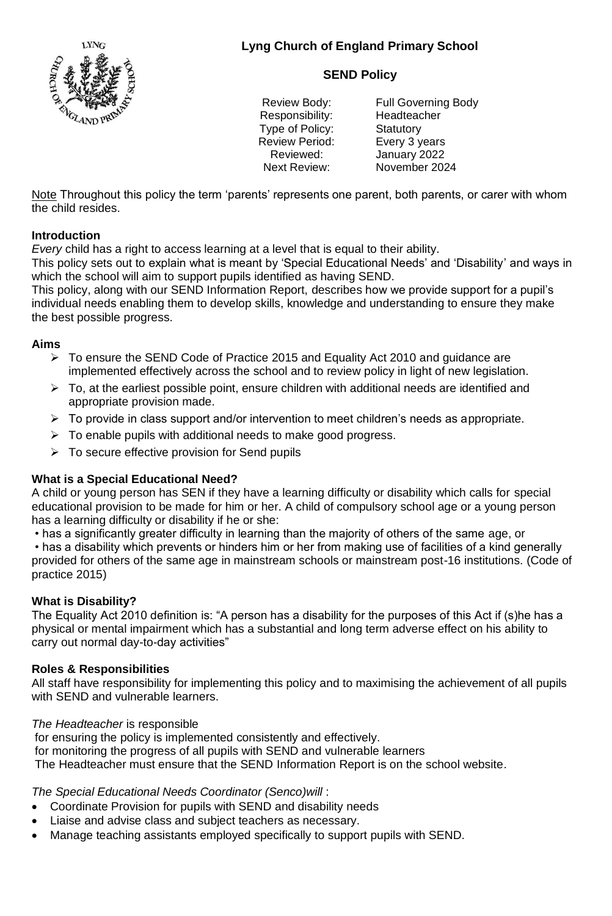

# **SEND Policy**

Responsibility: Headteacher Type of Policy: Statutory Review Period: Every 3 years

Review Body: Full Governing Body Reviewed: January 2022 Next Review: November 2024

Note Throughout this policy the term 'parents' represents one parent, both parents, or carer with whom the child resides.

## **Introduction**

*Every* child has a right to access learning at a level that is equal to their ability.

This policy sets out to explain what is meant by 'Special Educational Needs' and 'Disability' and ways in which the school will aim to support pupils identified as having SEND.

This policy, along with our SEND Information Report, describes how we provide support for a pupil's individual needs enabling them to develop skills, knowledge and understanding to ensure they make the best possible progress.

### **Aims**

- ➢ To ensure the SEND Code of Practice 2015 and Equality Act 2010 and guidance are implemented effectively across the school and to review policy in light of new legislation.
- $\triangleright$  To, at the earliest possible point, ensure children with additional needs are identified and appropriate provision made.
- $\triangleright$  To provide in class support and/or intervention to meet children's needs as appropriate.
- $\triangleright$  To enable pupils with additional needs to make good progress.
- $\triangleright$  To secure effective provision for Send pupils

### **What is a Special Educational Need?**

A child or young person has SEN if they have a learning difficulty or disability which calls for special educational provision to be made for him or her. A child of compulsory school age or a young person has a learning difficulty or disability if he or she:

• has a significantly greater difficulty in learning than the majority of others of the same age, or

• has a disability which prevents or hinders him or her from making use of facilities of a kind generally provided for others of the same age in mainstream schools or mainstream post-16 institutions. (Code of practice 2015)

### **What is Disability?**

The Equality Act 2010 definition is: "A person has a disability for the purposes of this Act if (s)he has a physical or mental impairment which has a substantial and long term adverse effect on his ability to carry out normal day-to-day activities"

### **Roles & Responsibilities**

All staff have responsibility for implementing this policy and to maximising the achievement of all pupils with SEND and vulnerable learners.

*The Headteacher* is responsible

for ensuring the policy is implemented consistently and effectively. for monitoring the progress of all pupils with SEND and vulnerable learners The Headteacher must ensure that the SEND Information Report is on the school website.

### *The Special Educational Needs Coordinator (Senco)will* :

- Coordinate Provision for pupils with SEND and disability needs
- Liaise and advise class and subject teachers as necessary.
- Manage teaching assistants employed specifically to support pupils with SEND.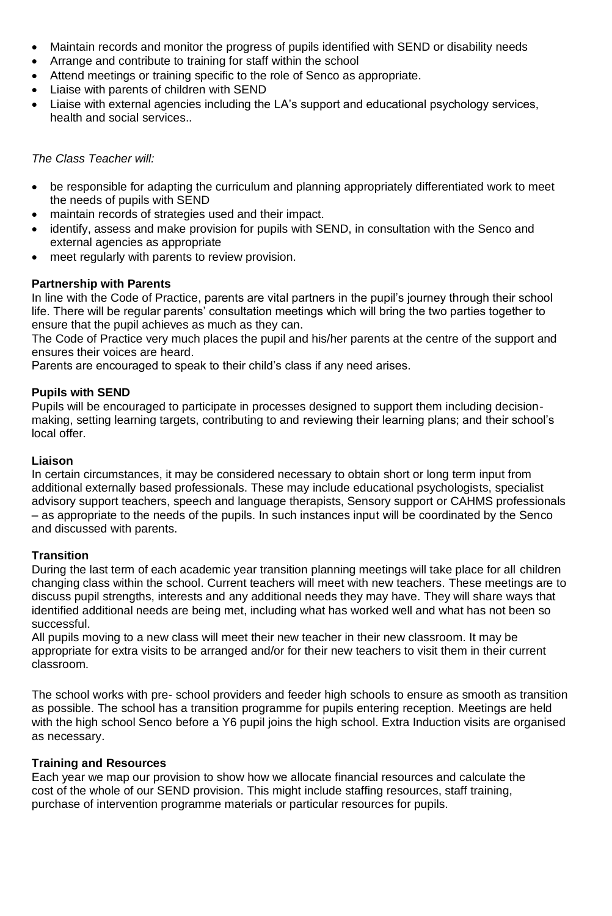- Maintain records and monitor the progress of pupils identified with SEND or disability needs
- Arrange and contribute to training for staff within the school
- Attend meetings or training specific to the role of Senco as appropriate.
- Liaise with parents of children with SEND
- Liaise with external agencies including the LA's support and educational psychology services, health and social services..

*The Class Teacher will:*

- be responsible for adapting the curriculum and planning appropriately differentiated work to meet the needs of pupils with SEND
- maintain records of strategies used and their impact.
- identify, assess and make provision for pupils with SEND, in consultation with the Senco and external agencies as appropriate
- meet regularly with parents to review provision.

### **Partnership with Parents**

In line with the Code of Practice, parents are vital partners in the pupil's journey through their school life. There will be regular parents' consultation meetings which will bring the two parties together to ensure that the pupil achieves as much as they can.

The Code of Practice very much places the pupil and his/her parents at the centre of the support and ensures their voices are heard.

Parents are encouraged to speak to their child's class if any need arises.

### **Pupils with SEND**

Pupils will be encouraged to participate in processes designed to support them including decisionmaking, setting learning targets, contributing to and reviewing their learning plans; and their school's local offer.

#### **Liaison**

In certain circumstances, it may be considered necessary to obtain short or long term input from additional externally based professionals. These may include educational psychologists, specialist advisory support teachers, speech and language therapists, Sensory support or CAHMS professionals – as appropriate to the needs of the pupils. In such instances input will be coordinated by the Senco and discussed with parents.

### **Transition**

During the last term of each academic year transition planning meetings will take place for all children changing class within the school. Current teachers will meet with new teachers. These meetings are to discuss pupil strengths, interests and any additional needs they may have. They will share ways that identified additional needs are being met, including what has worked well and what has not been so successful.

All pupils moving to a new class will meet their new teacher in their new classroom. It may be appropriate for extra visits to be arranged and/or for their new teachers to visit them in their current classroom.

The school works with pre- school providers and feeder high schools to ensure as smooth as transition as possible. The school has a transition programme for pupils entering reception. Meetings are held with the high school Senco before a Y6 pupil joins the high school. Extra Induction visits are organised as necessary.

### **Training and Resources**

Each year we map our provision to show how we allocate financial resources and calculate the cost of the whole of our SEND provision. This might include staffing resources, staff training, purchase of intervention programme materials or particular resources for pupils.